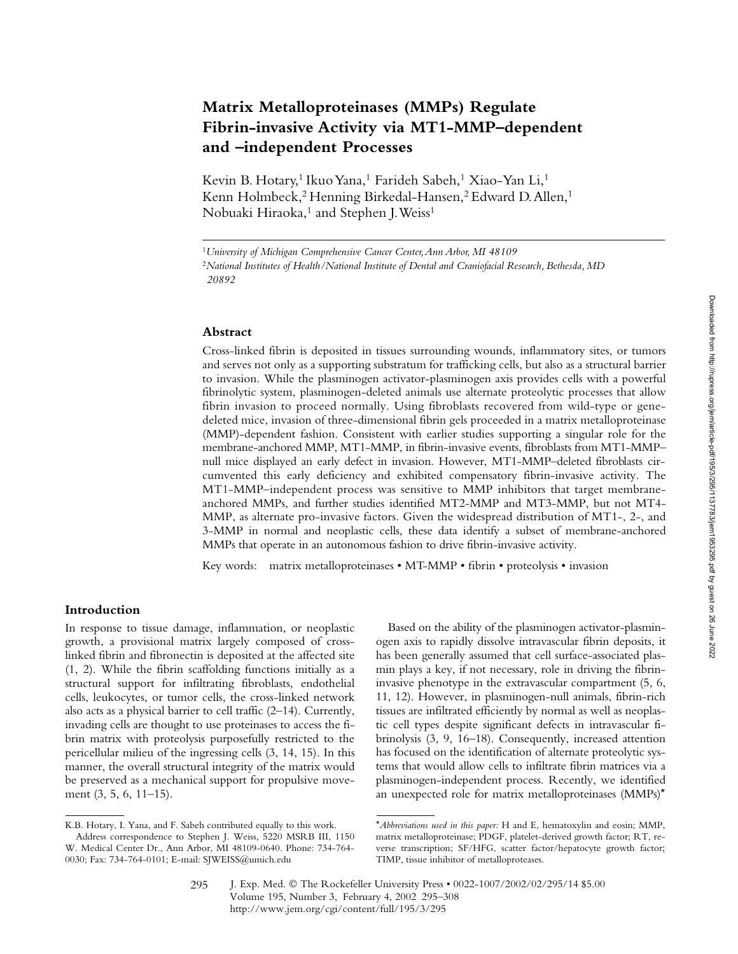# **Matrix Metalloproteinases (MMPs) Regulate Fibrin-invasive Activity via MT1-MMP–dependent and –independent Processes**

Kevin B. Hotary,<sup>1</sup> Ikuo Yana,<sup>1</sup> Farideh Sabeh,<sup>1</sup> Xiao-Yan Li,<sup>1</sup> Kenn Holmbeck,<sup>2</sup> Henning Birkedal-Hansen,<sup>2</sup> Edward D. Allen,<sup>1</sup> Nobuaki Hiraoka,<sup>1</sup> and Stephen J. Weiss<sup>1</sup>

### **Abstract**

Cross-linked fibrin is deposited in tissues surrounding wounds, inflammatory sites, or tumors and serves not only as a supporting substratum for trafficking cells, but also as a structural barrier to invasion. While the plasminogen activator-plasminogen axis provides cells with a powerful fibrinolytic system, plasminogen-deleted animals use alternate proteolytic processes that allow fibrin invasion to proceed normally. Using fibroblasts recovered from wild-type or genedeleted mice, invasion of three-dimensional fibrin gels proceeded in a matrix metalloproteinase (MMP)-dependent fashion. Consistent with earlier studies supporting a singular role for the membrane-anchored MMP, MT1-MMP, in fibrin-invasive events, fibroblasts from MT1-MMP– null mice displayed an early defect in invasion. However, MT1-MMP–deleted fibroblasts circumvented this early deficiency and exhibited compensatory fibrin-invasive activity. The MT1-MMP–independent process was sensitive to MMP inhibitors that target membraneanchored MMPs, and further studies identified MT2-MMP and MT3-MMP, but not MT4- MMP, as alternate pro-invasive factors. Given the widespread distribution of MT1-, 2-, and 3-MMP in normal and neoplastic cells, these data identify a subset of membrane-anchored MMPs that operate in an autonomous fashion to drive fibrin-invasive activity.

Key words: matrix metalloproteinases • MT-MMP • fibrin • proteolysis • invasion

# **Introduction**

In response to tissue damage, inflammation, or neoplastic growth, a provisional matrix largely composed of crosslinked fibrin and fibronectin is deposited at the affected site (1, 2). While the fibrin scaffolding functions initially as a structural support for infiltrating fibroblasts, endothelial cells, leukocytes, or tumor cells, the cross-linked network also acts as a physical barrier to cell traffic (2–14). Currently, invading cells are thought to use proteinases to access the fibrin matrix with proteolysis purposefully restricted to the pericellular milieu of the ingressing cells (3, 14, 15). In this manner, the overall structural integrity of the matrix would be preserved as a mechanical support for propulsive movement (3, 5, 6, 11–15).

Based on the ability of the plasminogen activator-plasminogen axis to rapidly dissolve intravascular fibrin deposits, it has been generally assumed that cell surface-associated plasmin plays a key, if not necessary, role in driving the fibrininvasive phenotype in the extravascular compartment (5, 6, 11, 12). However, in plasminogen-null animals, fibrin-rich tissues are infiltrated efficiently by normal as well as neoplastic cell types despite significant defects in intravascular fibrinolysis (3, 9, 16–18). Consequently, increased attention has focused on the identification of alternate proteolytic systems that would allow cells to infiltrate fibrin matrices via a plasminogen-independent process. Recently, we identified an unexpected role for matrix metalloproteinases (MMPs)\*

<sup>1</sup>*University of Michigan Comprehensive Cancer Center, Ann Arbor, MI 48109* <sup>2</sup>*National Institutes of Health/National Institute of Dental and Craniofacial Research, Bethesda, MD 20892*

K.B. Hotary, I. Yana, and F. Sabeh contributed equally to this work.

Address correspondence to Stephen J. Weiss, 5220 MSRB III, 1150 W. Medical Center Dr., Ann Arbor, MI 48109-0640. Phone: 734-764- 0030; Fax: 734-764-0101; E-mail: SJWEISS@umich.edu

<sup>\*</sup>*Abbreviations used in this paper:* H and E, hematoxylin and eosin; MMP, matrix metalloproteinase; PDGF, platelet-derived growth factor; RT, reverse transcription; SF/HFG, scatter factor/hepatocyte growth factor; TIMP, tissue inhibitor of metalloproteases.

J. Exp. Med. © The Rockefeller University Press • 0022-1007/2002/02/295/14 \$5.00 Volume 195, Number 3, February 4, 2002 295–308 http://www.jem.org/cgi/content/full/195/3/295 295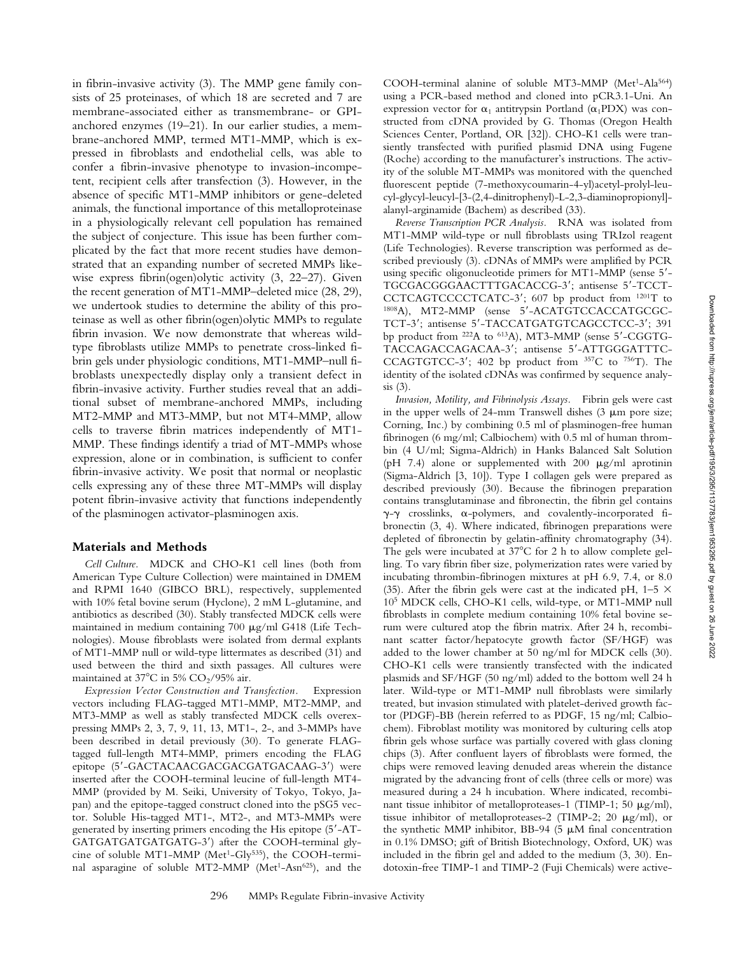in fibrin-invasive activity (3). The MMP gene family consists of 25 proteinases, of which 18 are secreted and 7 are membrane-associated either as transmembrane- or GPIanchored enzymes (19–21). In our earlier studies, a membrane-anchored MMP, termed MT1-MMP, which is expressed in fibroblasts and endothelial cells, was able to confer a fibrin-invasive phenotype to invasion-incompetent, recipient cells after transfection (3). However, in the absence of specific MT1-MMP inhibitors or gene-deleted animals, the functional importance of this metalloproteinase in a physiologically relevant cell population has remained the subject of conjecture. This issue has been further complicated by the fact that more recent studies have demonstrated that an expanding number of secreted MMPs likewise express fibrin(ogen)olytic activity (3, 22–27). Given the recent generation of MT1-MMP–deleted mice (28, 29), we undertook studies to determine the ability of this proteinase as well as other fibrin(ogen)olytic MMPs to regulate fibrin invasion. We now demonstrate that whereas wildtype fibroblasts utilize MMPs to penetrate cross-linked fibrin gels under physiologic conditions, MT1-MMP–null fibroblasts unexpectedly display only a transient defect in fibrin-invasive activity. Further studies reveal that an additional subset of membrane-anchored MMPs, including MT2-MMP and MT3-MMP, but not MT4-MMP, allow cells to traverse fibrin matrices independently of MT1- MMP. These findings identify a triad of MT-MMPs whose expression, alone or in combination, is sufficient to confer fibrin-invasive activity. We posit that normal or neoplastic cells expressing any of these three MT-MMPs will display potent fibrin-invasive activity that functions independently of the plasminogen activator-plasminogen axis.

# **Materials and Methods**

*Cell Culture.* MDCK and CHO-K1 cell lines (both from American Type Culture Collection) were maintained in DMEM and RPMI 1640 (GIBCO BRL), respectively, supplemented with 10% fetal bovine serum (Hyclone), 2 mM L-glutamine, and antibiotics as described (30). Stably transfected MDCK cells were maintained in medium containing 700 µg/ml G418 (Life Technologies). Mouse fibroblasts were isolated from dermal explants of MT1-MMP null or wild-type littermates as described (31) and used between the third and sixth passages. All cultures were maintained at  $37^{\circ}$ C in 5% CO<sub>2</sub>/95% air.

*Expression Vector Construction and Transfection.* Expression vectors including FLAG-tagged MT1-MMP, MT2-MMP, and MT3-MMP as well as stably transfected MDCK cells overexpressing MMPs 2, 3, 7, 9, 11, 13, MT1-, 2-, and 3-MMPs have been described in detail previously (30). To generate FLAGtagged full-length MT4-MMP, primers encoding the FLAG epitope (5'-GACTACAACGACGACGATGACAAG-3') were inserted after the COOH-terminal leucine of full-length MT4- MMP (provided by M. Seiki, University of Tokyo, Tokyo, Japan) and the epitope-tagged construct cloned into the pSG5 vector. Soluble His-tagged MT1-, MT2-, and MT3-MMPs were generated by inserting primers encoding the His epitope (5-AT-GATGATGATGATGATG-3) after the COOH-terminal glycine of soluble MT1-MMP (Met<sup>1</sup>-Gly<sup>535</sup>), the COOH-terminal asparagine of soluble MT2-MMP (Met<sup>1</sup>-Asn<sup>625</sup>), and the COOH-terminal alanine of soluble MT3-MMP (Met<sup>1</sup>-Ala<sup>564</sup>) using a PCR-based method and cloned into pCR3.1-Uni. An expression vector for  $\alpha_1$  antitrypsin Portland ( $\alpha_1$ PDX) was constructed from cDNA provided by G. Thomas (Oregon Health Sciences Center, Portland, OR [32]). CHO-K1 cells were transiently transfected with purified plasmid DNA using Fugene (Roche) according to the manufacturer's instructions. The activity of the soluble MT-MMPs was monitored with the quenched fluorescent peptide (7-methoxycoumarin-4-yl)acetyl-prolyl-leucyl-glycyl-leucyl-[3-(2,4-dinitrophenyl)-L-2,3-diaminopropionyl] alanyl-arginamide (Bachem) as described (33).

*Reverse Transcription PCR Analysis.* RNA was isolated from MT1-MMP wild-type or null fibroblasts using TRIzol reagent (Life Technologies). Reverse transcription was performed as described previously (3). cDNAs of MMPs were amplified by PCR using specific oligonucleotide primers for MT1-MMP (sense 5- TGCGACGGGAACTTTGACACCG-3'; antisense 5'-TCCT-CCTCAGTCCCCTCATC-3; 607 bp product from 1201T to 1808A), MT2-MMP (sense 5'-ACATGTCCACCATGCGC-TCT-3'; antisense 5'-TACCATGATGTCAGCCTCC-3'; 391 bp product from <sup>222</sup>A to <sup>613</sup>A), MT3-MMP (sense 5'-CGGTG-TACCAGACCAGACAA-3; antisense 5-ATTGGGATTTC-CCAGTGTCC-3'; 402 bp product from  $357C$  to  $756T$ ). The identity of the isolated cDNAs was confirmed by sequence analysis (3).

*Invasion, Motility, and Fibrinolysis Assays.* Fibrin gels were cast in the upper wells of 24-mm Transwell dishes  $(3 \mu m)$  pore size; Corning, Inc.) by combining 0.5 ml of plasminogen-free human fibrinogen (6 mg/ml; Calbiochem) with 0.5 ml of human thrombin (4 U/ml; Sigma-Aldrich) in Hanks Balanced Salt Solution (pH 7.4) alone or supplemented with 200  $\mu$ g/ml aprotinin (Sigma-Aldrich [3, 10]). Type I collagen gels were prepared as described previously (30). Because the fibrinogen preparation contains transglutaminase and fibronectin, the fibrin gel contains  $\gamma$ - $\gamma$  crosslinks,  $\alpha$ -polymers, and covalently-incorporated fibronectin (3, 4). Where indicated, fibrinogen preparations were depleted of fibronectin by gelatin-affinity chromatography (34). The gels were incubated at  $37^{\circ}$ C for 2 h to allow complete gelling. To vary fibrin fiber size, polymerization rates were varied by incubating thrombin-fibrinogen mixtures at pH 6.9, 7.4, or 8.0 (35). After the fibrin gels were cast at the indicated pH, 1–5  $\times$ 105 MDCK cells, CHO-K1 cells, wild-type, or MT1-MMP null fibroblasts in complete medium containing 10% fetal bovine serum were cultured atop the fibrin matrix. After 24 h, recombinant scatter factor/hepatocyte growth factor (SF/HGF) was added to the lower chamber at 50 ng/ml for MDCK cells (30). CHO-K1 cells were transiently transfected with the indicated plasmids and SF/HGF (50 ng/ml) added to the bottom well 24 h later. Wild-type or MT1-MMP null fibroblasts were similarly treated, but invasion stimulated with platelet-derived growth factor (PDGF)-BB (herein referred to as PDGF, 15 ng/ml; Calbiochem). Fibroblast motility was monitored by culturing cells atop fibrin gels whose surface was partially covered with glass cloning chips (3). After confluent layers of fibroblasts were formed, the chips were removed leaving denuded areas wherein the distance migrated by the advancing front of cells (three cells or more) was measured during a 24 h incubation. Where indicated, recombinant tissue inhibitor of metalloproteases-1 (TIMP-1; 50  $\mu$ g/ml), tissue inhibitor of metalloproteases-2 (TIMP-2; 20  $\mu$ g/ml), or the synthetic MMP inhibitor, BB-94 (5  $\mu$ M final concentration in 0.1% DMSO; gift of British Biotechnology, Oxford, UK) was included in the fibrin gel and added to the medium (3, 30). Endotoxin-free TIMP-1 and TIMP-2 (Fuji Chemicals) were active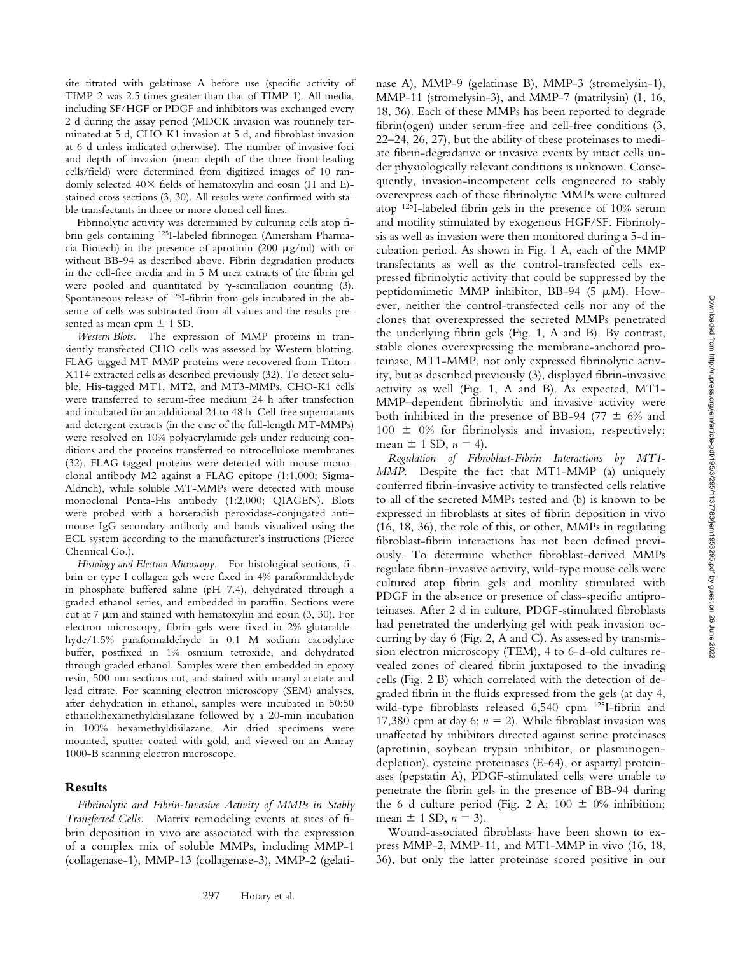site titrated with gelatinase A before use (specific activity of TIMP-2 was 2.5 times greater than that of TIMP-1). All media, including SF/HGF or PDGF and inhibitors was exchanged every 2 d during the assay period (MDCK invasion was routinely terminated at 5 d, CHO-K1 invasion at 5 d, and fibroblast invasion at 6 d unless indicated otherwise). The number of invasive foci and depth of invasion (mean depth of the three front-leading cells/field) were determined from digitized images of 10 randomly selected  $40\times$  fields of hematoxylin and eosin (H and E)stained cross sections (3, 30). All results were confirmed with stable transfectants in three or more cloned cell lines.

Fibrinolytic activity was determined by culturing cells atop fibrin gels containing 125I-labeled fibrinogen (Amersham Pharmacia Biotech) in the presence of aprotinin (200  $\mu$ g/ml) with or without BB-94 as described above. Fibrin degradation products in the cell-free media and in 5 M urea extracts of the fibrin gel were pooled and quantitated by  $\gamma$ -scintillation counting (3). Spontaneous release of 125I-fibrin from gels incubated in the absence of cells was subtracted from all values and the results presented as mean cpm  $\pm$  1 SD.

*Western Blots.* The expression of MMP proteins in transiently transfected CHO cells was assessed by Western blotting. FLAG-tagged MT-MMP proteins were recovered from Triton-X114 extracted cells as described previously (32). To detect soluble, His-tagged MT1, MT2, and MT3-MMPs, CHO-K1 cells were transferred to serum-free medium 24 h after transfection and incubated for an additional 24 to 48 h. Cell-free supernatants and detergent extracts (in the case of the full-length MT-MMPs) were resolved on 10% polyacrylamide gels under reducing conditions and the proteins transferred to nitrocellulose membranes (32). FLAG-tagged proteins were detected with mouse monoclonal antibody M2 against a FLAG epitope (1:1,000; Sigma-Aldrich), while soluble MT-MMPs were detected with mouse monoclonal Penta-His antibody (1:2,000; QIAGEN). Blots were probed with a horseradish peroxidase-conjugated anti– mouse IgG secondary antibody and bands visualized using the ECL system according to the manufacturer's instructions (Pierce Chemical Co.).

*Histology and Electron Microscopy.* For histological sections, fibrin or type I collagen gels were fixed in 4% paraformaldehyde in phosphate buffered saline (pH 7.4), dehydrated through a graded ethanol series, and embedded in paraffin. Sections were cut at 7  $\mu$ m and stained with hematoxylin and eosin (3, 30). For electron microscopy, fibrin gels were fixed in 2% glutaraldehyde/1.5% paraformaldehyde in 0.1 M sodium cacodylate buffer, postfixed in 1% osmium tetroxide, and dehydrated through graded ethanol. Samples were then embedded in epoxy resin, 500 nm sections cut, and stained with uranyl acetate and lead citrate. For scanning electron microscopy (SEM) analyses, after dehydration in ethanol, samples were incubated in 50:50 ethanol:hexamethyldisilazane followed by a 20-min incubation in 100% hexamethyldisilazane. Air dried specimens were mounted, sputter coated with gold, and viewed on an Amray 1000-B scanning electron microscope.

#### **Results**

*Fibrinolytic and Fibrin-Invasive Activity of MMPs in Stably Transfected Cells.* Matrix remodeling events at sites of fibrin deposition in vivo are associated with the expression of a complex mix of soluble MMPs, including MMP-1 (collagenase-1), MMP-13 (collagenase-3), MMP-2 (gelati-

nase A), MMP-9 (gelatinase B), MMP-3 (stromelysin-1), MMP-11 (stromelysin-3), and MMP-7 (matrilysin) (1, 16, 18, 36). Each of these MMPs has been reported to degrade fibrin(ogen) under serum-free and cell-free conditions (3, 22–24, 26, 27), but the ability of these proteinases to mediate fibrin-degradative or invasive events by intact cells under physiologically relevant conditions is unknown. Consequently, invasion-incompetent cells engineered to stably overexpress each of these fibrinolytic MMPs were cultured atop 125I-labeled fibrin gels in the presence of 10% serum and motility stimulated by exogenous HGF/SF. Fibrinolysis as well as invasion were then monitored during a 5-d incubation period. As shown in Fig. 1 A, each of the MMP transfectants as well as the control-transfected cells expressed fibrinolytic activity that could be suppressed by the peptidomimetic MMP inhibitor, BB-94 (5 µM). However, neither the control-transfected cells nor any of the clones that overexpressed the secreted MMPs penetrated the underlying fibrin gels (Fig. 1, A and B). By contrast, stable clones overexpressing the membrane-anchored proteinase, MT1-MMP, not only expressed fibrinolytic activity, but as described previously (3), displayed fibrin-invasive activity as well (Fig. 1, A and B). As expected, MT1- MMP–dependent fibrinolytic and invasive activity were both inhibited in the presence of BB-94 (77  $\pm$  6% and  $100 \pm 0\%$  for fibrinolysis and invasion, respectively; mean  $\pm$  1 SD,  $n = 4$ ).

*Regulation of Fibroblast-Fibrin Interactions by MT1- MMP.* Despite the fact that MT1-MMP (a) uniquely conferred fibrin-invasive activity to transfected cells relative to all of the secreted MMPs tested and (b) is known to be expressed in fibroblasts at sites of fibrin deposition in vivo (16, 18, 36), the role of this, or other, MMPs in regulating fibroblast-fibrin interactions has not been defined previously. To determine whether fibroblast-derived MMPs regulate fibrin-invasive activity, wild-type mouse cells were cultured atop fibrin gels and motility stimulated with PDGF in the absence or presence of class-specific antiproteinases. After 2 d in culture, PDGF-stimulated fibroblasts had penetrated the underlying gel with peak invasion occurring by day 6 (Fig. 2, A and C). As assessed by transmission electron microscopy (TEM), 4 to 6-d-old cultures revealed zones of cleared fibrin juxtaposed to the invading cells (Fig. 2 B) which correlated with the detection of degraded fibrin in the fluids expressed from the gels (at day 4, wild-type fibroblasts released 6,540 cpm 125I-fibrin and 17,380 cpm at day 6;  $n = 2$ ). While fibroblast invasion was unaffected by inhibitors directed against serine proteinases (aprotinin, soybean trypsin inhibitor, or plasminogendepletion), cysteine proteinases (E-64), or aspartyl proteinases (pepstatin A), PDGF-stimulated cells were unable to penetrate the fibrin gels in the presence of BB-94 during the 6 d culture period (Fig. 2 A;  $100 \pm 0\%$  inhibition; mean  $\pm$  1 SD,  $n = 3$ ).

Wound-associated fibroblasts have been shown to express MMP-2, MMP-11, and MT1-MMP in vivo (16, 18, 36), but only the latter proteinase scored positive in our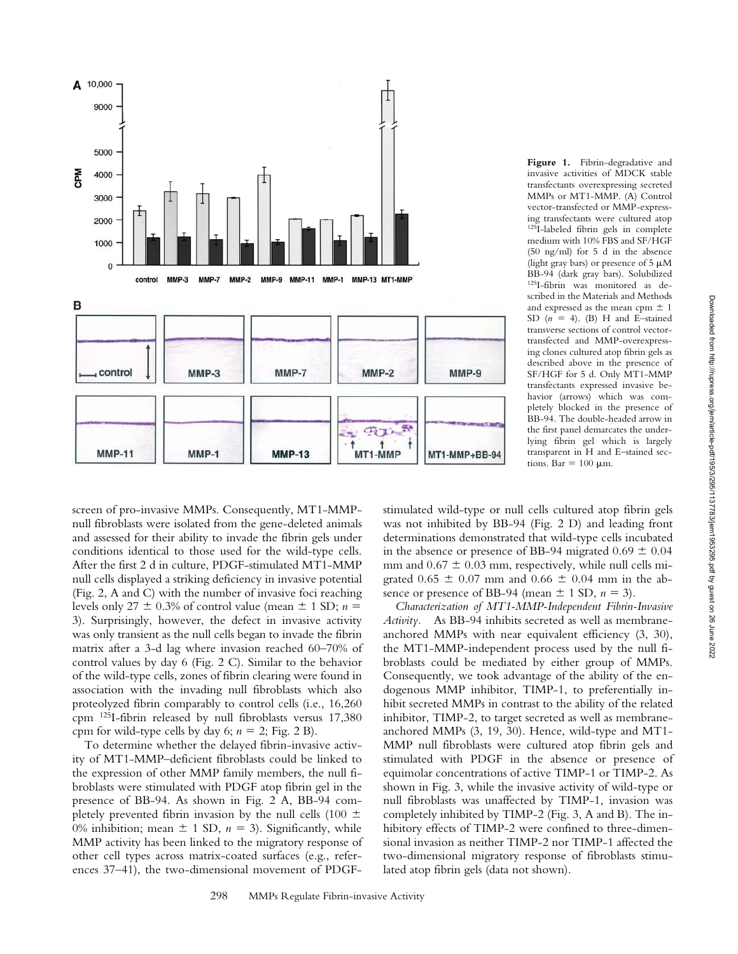



screen of pro-invasive MMPs. Consequently, MT1-MMPnull fibroblasts were isolated from the gene-deleted animals and assessed for their ability to invade the fibrin gels under conditions identical to those used for the wild-type cells. After the first 2 d in culture, PDGF-stimulated MT1-MMP null cells displayed a striking deficiency in invasive potential (Fig. 2, A and C) with the number of invasive foci reaching levels only 27  $\pm$  0.3% of control value (mean  $\pm$  1 SD; *n* = 3). Surprisingly, however, the defect in invasive activity was only transient as the null cells began to invade the fibrin matrix after a 3-d lag where invasion reached 60–70% of control values by day 6 (Fig. 2 C). Similar to the behavior of the wild-type cells, zones of fibrin clearing were found in association with the invading null fibroblasts which also proteolyzed fibrin comparably to control cells (i.e., 16,260 cpm 125I-fibrin released by null fibroblasts versus 17,380 cpm for wild-type cells by day 6;  $n = 2$ ; Fig. 2 B).

To determine whether the delayed fibrin-invasive activity of MT1-MMP–deficient fibroblasts could be linked to the expression of other MMP family members, the null fibroblasts were stimulated with PDGF atop fibrin gel in the presence of BB-94. As shown in Fig. 2 A, BB-94 completely prevented fibrin invasion by the null cells (100  $\pm$ 0% inhibition; mean  $\pm$  1 SD,  $n = 3$ ). Significantly, while MMP activity has been linked to the migratory response of other cell types across matrix-coated surfaces (e.g., references 37–41), the two-dimensional movement of PDGF-

stimulated wild-type or null cells cultured atop fibrin gels was not inhibited by BB-94 (Fig. 2 D) and leading front determinations demonstrated that wild-type cells incubated in the absence or presence of BB-94 migrated  $0.69 \pm 0.04$ mm and  $0.67 \pm 0.03$  mm, respectively, while null cells migrated  $0.65 \pm 0.07$  mm and  $0.66 \pm 0.04$  mm in the absence or presence of BB-94 (mean  $\pm$  1 SD,  $n = 3$ ).

tions. Bar =  $100 \mu m$ .

*Characterization of MT1-MMP-Independent Fibrin-Invasive Activity.* As BB-94 inhibits secreted as well as membraneanchored MMPs with near equivalent efficiency (3, 30), the MT1-MMP-independent process used by the null fibroblasts could be mediated by either group of MMPs. Consequently, we took advantage of the ability of the endogenous MMP inhibitor, TIMP-1, to preferentially inhibit secreted MMPs in contrast to the ability of the related inhibitor, TIMP-2, to target secreted as well as membraneanchored MMPs (3, 19, 30). Hence, wild-type and MT1- MMP null fibroblasts were cultured atop fibrin gels and stimulated with PDGF in the absence or presence of equimolar concentrations of active TIMP-1 or TIMP-2. As shown in Fig. 3, while the invasive activity of wild-type or null fibroblasts was unaffected by TIMP-1, invasion was completely inhibited by TIMP-2 (Fig. 3, A and B). The inhibitory effects of TIMP-2 were confined to three-dimensional invasion as neither TIMP-2 nor TIMP-1 affected the two-dimensional migratory response of fibroblasts stimulated atop fibrin gels (data not shown).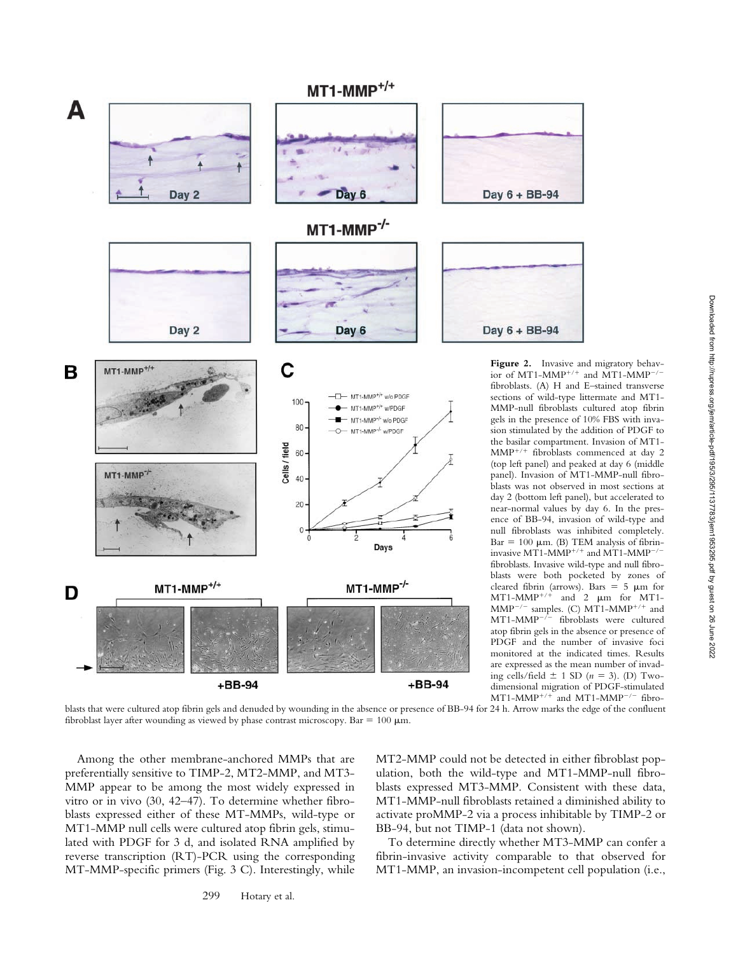

Downloaded from http://rupress.org/jem/article-pdf/195/3/295/1137783/jem1953295.pdf by guest on 26 June 2022 Downloaded from http://rupress.org/jem/article-pdf/195/3/295/1137783/jem1953295.pdf by guest on 26 June 2022

blasts that were cultured atop fibrin gels and denuded by wounding in the absence or presence of BB-94 for 24 h. Arrow marks the edge of the confluent fibroblast layer after wounding as viewed by phase contrast microscopy. Bar  $= 100 \mu m$ .

Among the other membrane-anchored MMPs that are preferentially sensitive to TIMP-2, MT2-MMP, and MT3- MMP appear to be among the most widely expressed in vitro or in vivo (30, 42–47). To determine whether fibroblasts expressed either of these MT-MMPs, wild-type or MT1-MMP null cells were cultured atop fibrin gels, stimulated with PDGF for 3 d, and isolated RNA amplified by reverse transcription (RT)-PCR using the corresponding MT-MMP-specific primers (Fig. 3 C). Interestingly, while

MT2-MMP could not be detected in either fibroblast population, both the wild-type and MT1-MMP-null fibroblasts expressed MT3-MMP. Consistent with these data, MT1-MMP-null fibroblasts retained a diminished ability to activate proMMP-2 via a process inhibitable by TIMP-2 or BB-94, but not TIMP-1 (data not shown).

To determine directly whether MT3-MMP can confer a fibrin-invasive activity comparable to that observed for MT1-MMP, an invasion-incompetent cell population (i.e.,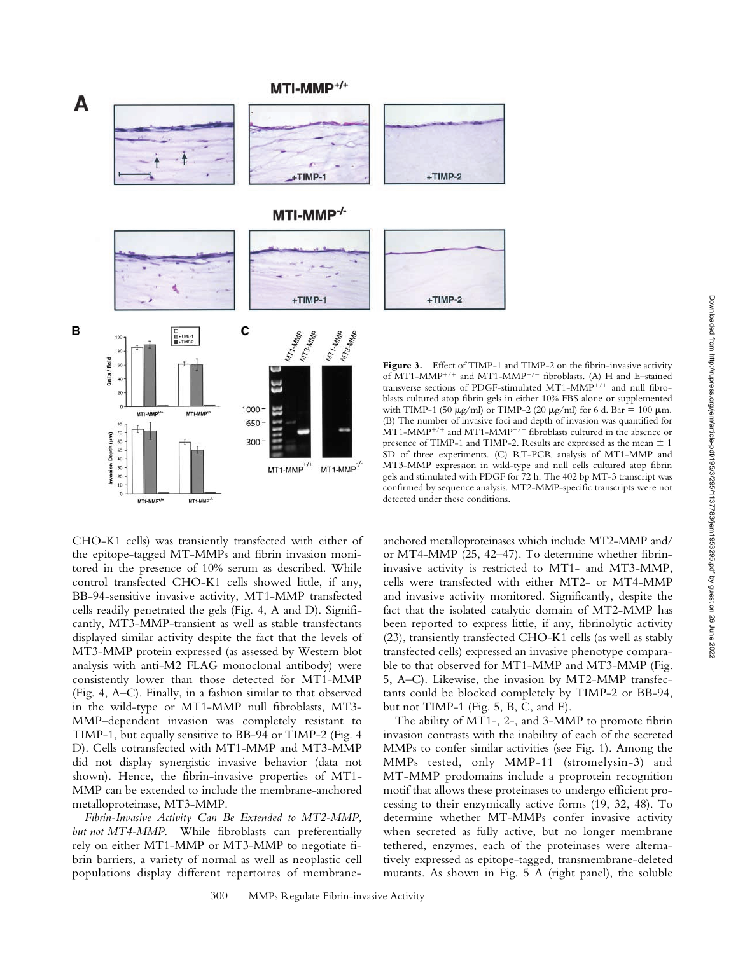# MTI-MMP<sup>+/+</sup>



CHO-K1 cells) was transiently transfected with either of the epitope-tagged MT-MMPs and fibrin invasion monitored in the presence of 10% serum as described. While control transfected CHO-K1 cells showed little, if any, BB-94-sensitive invasive activity, MT1-MMP transfected cells readily penetrated the gels (Fig. 4, A and D). Significantly, MT3-MMP-transient as well as stable transfectants displayed similar activity despite the fact that the levels of MT3-MMP protein expressed (as assessed by Western blot analysis with anti-M2 FLAG monoclonal antibody) were consistently lower than those detected for MT1-MMP (Fig. 4, A–C). Finally, in a fashion similar to that observed in the wild-type or MT1-MMP null fibroblasts, MT3- MMP–dependent invasion was completely resistant to TIMP-1, but equally sensitive to BB-94 or TIMP-2 (Fig. 4 D). Cells cotransfected with MT1-MMP and MT3-MMP did not display synergistic invasive behavior (data not shown). Hence, the fibrin-invasive properties of MT1- MMP can be extended to include the membrane-anchored metalloproteinase, MT3-MMP.

20  $10^{-1}$ 

MT1-MMP<sup>+/</sup>

MT1-MMP<sup>-/</sup>

*Fibrin-Invasive Activity Can Be Extended to MT2-MMP, but not MT4-MMP.* While fibroblasts can preferentially rely on either MT1-MMP or MT3-MMP to negotiate fibrin barriers, a variety of normal as well as neoplastic cell populations display different repertoires of membrane-

anchored metalloproteinases which include MT2-MMP and/ or MT4-MMP (25, 42–47). To determine whether fibrininvasive activity is restricted to MT1- and MT3-MMP, cells were transfected with either MT2- or MT4-MMP and invasive activity monitored. Significantly, despite the fact that the isolated catalytic domain of MT2-MMP has been reported to express little, if any, fibrinolytic activity (23), transiently transfected CHO-K1 cells (as well as stably transfected cells) expressed an invasive phenotype comparable to that observed for MT1-MMP and MT3-MMP (Fig. 5, A–C). Likewise, the invasion by MT2-MMP transfectants could be blocked completely by TIMP-2 or BB-94, detected under these conditions.

gels and stimulated with PDGF for 72 h. The 402 bp MT-3 transcript was confirmed by sequence analysis. MT2-MMP-specific transcripts were not

The ability of MT1-, 2-, and 3-MMP to promote fibrin invasion contrasts with the inability of each of the secreted MMPs to confer similar activities (see Fig. 1). Among the MMPs tested, only MMP-11 (stromelysin-3) and MT-MMP prodomains include a proprotein recognition motif that allows these proteinases to undergo efficient processing to their enzymically active forms (19, 32, 48). To determine whether MT-MMPs confer invasive activity when secreted as fully active, but no longer membrane tethered, enzymes, each of the proteinases were alternatively expressed as epitope-tagged, transmembrane-deleted mutants. As shown in Fig. 5 A (right panel), the soluble

but not TIMP-1 (Fig. 5, B, C, and E).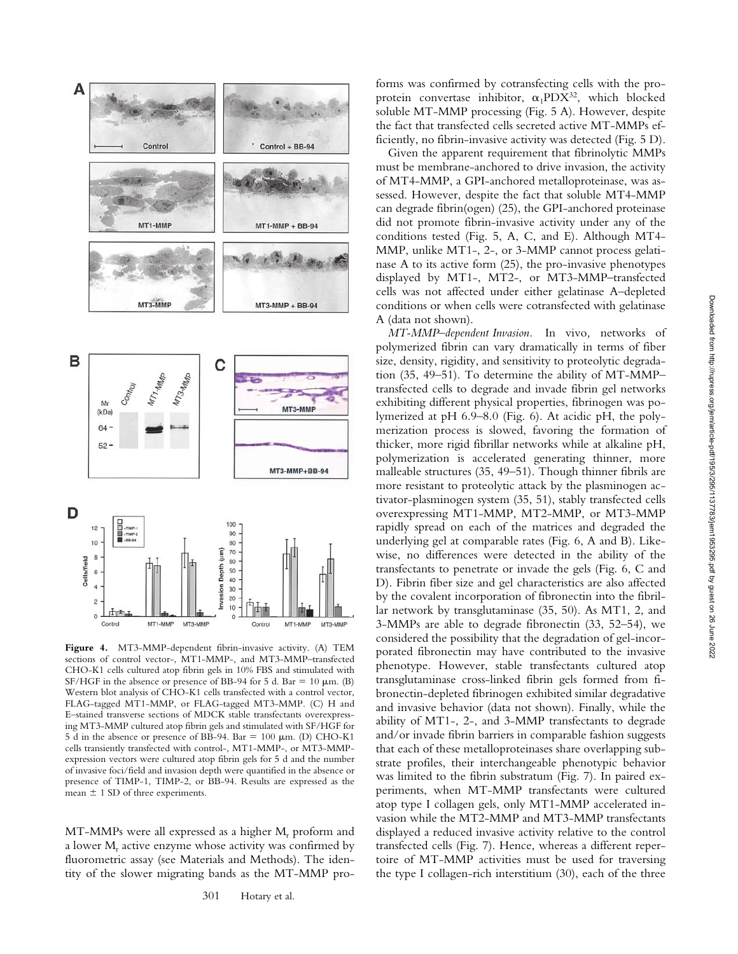

**Figure 4.** MT3-MMP-dependent fibrin-invasive activity. (A) TEM sections of control vector-, MT1-MMP-, and MT3-MMP–transfected CHO-K1 cells cultured atop fibrin gels in 10% FBS and stimulated with SF/HGF in the absence or presence of BB-94 for 5 d. Bar = 10  $\mu$ m. (B) Western blot analysis of CHO-K1 cells transfected with a control vector, FLAG-tagged MT1-MMP, or FLAG-tagged MT3-MMP. (C) H and E–stained transverse sections of MDCK stable transfectants overexpressing MT3-MMP cultured atop fibrin gels and stimulated with SF/HGF for 5 d in the absence or presence of BB-94. Bar = 100  $\mu$ m. (D) CHO-K1 cells transiently transfected with control-, MT1-MMP-, or MT3-MMPexpression vectors were cultured atop fibrin gels for 5 d and the number of invasive foci/field and invasion depth were quantified in the absence or presence of TIMP-1, TIMP-2, or BB-94. Results are expressed as the mean  $\pm$  1 SD of three experiments.

MT3-MMF

MT1-MMP

Control

MT3-MMP

 $\mathbf{0}$ Control

MT1-MMF

 $MT-MMPs$  were all expressed as a higher  $M<sub>r</sub>$  proform and a lower M<sub>r</sub> active enzyme whose activity was confirmed by fluorometric assay (see Materials and Methods). The identity of the slower migrating bands as the MT-MMP pro-

301 Hotary et al.

forms was confirmed by cotransfecting cells with the proprotein convertase inhibitor,  $\alpha_1$ PDX<sup>32</sup>, which blocked soluble MT-MMP processing (Fig. 5 A). However, despite the fact that transfected cells secreted active MT-MMPs efficiently, no fibrin-invasive activity was detected (Fig. 5 D).

Given the apparent requirement that fibrinolytic MMPs must be membrane-anchored to drive invasion, the activity of MT4-MMP, a GPI-anchored metalloproteinase, was assessed. However, despite the fact that soluble MT4-MMP can degrade fibrin(ogen) (25), the GPI-anchored proteinase did not promote fibrin-invasive activity under any of the conditions tested (Fig. 5, A, C, and E). Although MT4- MMP, unlike MT1-, 2-, or 3-MMP cannot process gelatinase A to its active form (25), the pro-invasive phenotypes displayed by MT1-, MT2-, or MT3-MMP–transfected cells was not affected under either gelatinase A–depleted conditions or when cells were cotransfected with gelatinase A (data not shown).

*MT-MMP–dependent Invasion.* In vivo*,* networks of polymerized fibrin can vary dramatically in terms of fiber size, density, rigidity, and sensitivity to proteolytic degradation (35, 49–51). To determine the ability of MT-MMP– transfected cells to degrade and invade fibrin gel networks exhibiting different physical properties, fibrinogen was polymerized at pH 6.9–8.0 (Fig. 6). At acidic pH, the polymerization process is slowed, favoring the formation of thicker, more rigid fibrillar networks while at alkaline pH, polymerization is accelerated generating thinner, more malleable structures (35, 49–51). Though thinner fibrils are more resistant to proteolytic attack by the plasminogen activator-plasminogen system (35, 51), stably transfected cells overexpressing MT1-MMP, MT2-MMP, or MT3-MMP rapidly spread on each of the matrices and degraded the underlying gel at comparable rates (Fig. 6, A and B). Likewise, no differences were detected in the ability of the transfectants to penetrate or invade the gels (Fig. 6, C and D). Fibrin fiber size and gel characteristics are also affected by the covalent incorporation of fibronectin into the fibrillar network by transglutaminase (35, 50). As MT1, 2, and 3-MMPs are able to degrade fibronectin (33, 52–54), we considered the possibility that the degradation of gel-incorporated fibronectin may have contributed to the invasive phenotype. However, stable transfectants cultured atop transglutaminase cross-linked fibrin gels formed from fibronectin-depleted fibrinogen exhibited similar degradative and invasive behavior (data not shown). Finally, while the ability of MT1-, 2-, and 3-MMP transfectants to degrade and/or invade fibrin barriers in comparable fashion suggests that each of these metalloproteinases share overlapping substrate profiles, their interchangeable phenotypic behavior was limited to the fibrin substratum (Fig. 7). In paired experiments, when MT-MMP transfectants were cultured atop type I collagen gels, only MT1-MMP accelerated invasion while the MT2-MMP and MT3-MMP transfectants displayed a reduced invasive activity relative to the control transfected cells (Fig. 7). Hence, whereas a different repertoire of MT-MMP activities must be used for traversing the type I collagen-rich interstitium (30), each of the three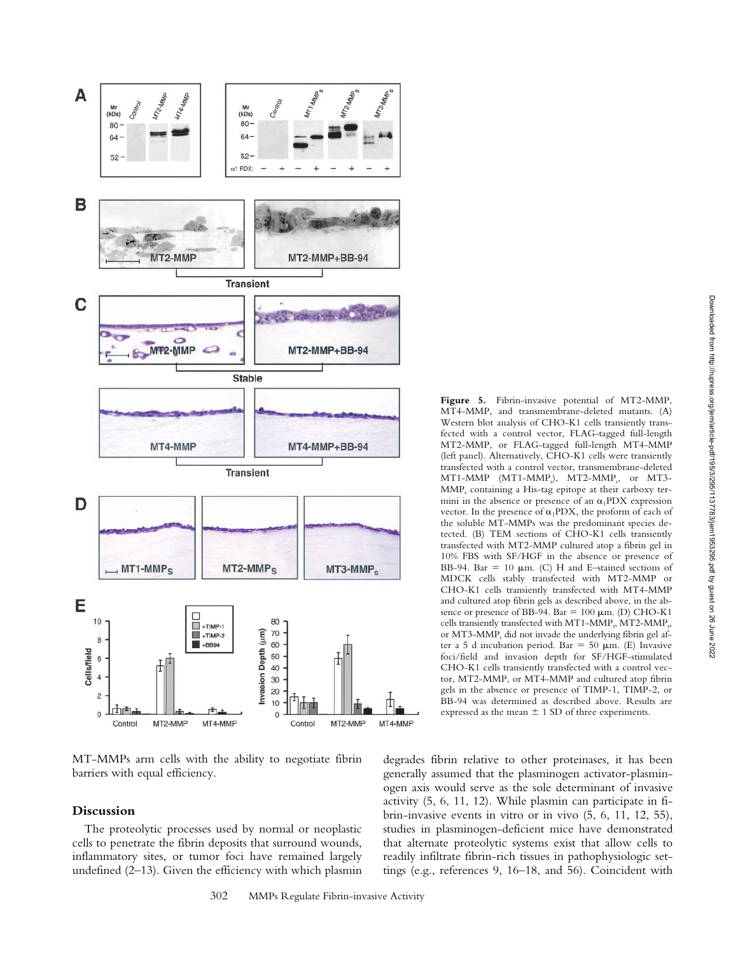

MT-MMPs arm cells with the ability to negotiate fibrin barriers with equal efficiency.

# **Discussion**

The proteolytic processes used by normal or neoplastic cells to penetrate the fibrin deposits that surround wounds, inflammatory sites, or tumor foci have remained largely undefined (2–13). Given the efficiency with which plasmin

**Figure 5.** Fibrin-invasive potential of MT2-MMP, MT4-MMP, and transmembrane-deleted mutants. (A) Western blot analysis of CHO-K1 cells transiently transfected with a control vector, FLAG-tagged full-length MT2-MMP, or FLAG-tagged full-length MT4-MMP (left panel). Alternatively, CHO-K1 cells were transiently transfected with a control vector, transmembrane-deleted MT1-MMP (MT1-MMP<sub>s</sub>), MT2-MMP<sub>s</sub>, or MT3-MMPs containing a His-tag epitope at their carboxy termini in the absence or presence of an  $\alpha_1$ PDX expression vector. In the presence of  $\alpha_1$ PDX, the proform of each of the soluble MT-MMPs was the predominant species detected. (B) TEM sections of CHO-K1 cells transiently transfected with MT2-MMP cultured atop a fibrin gel in 10% FBS with SF/HGF in the absence or presence of BB-94. Bar = 10  $\mu$ m. (C) H and E–stained sections of MDCK cells stably transfected with MT2-MMP or CHO-K1 cells transiently transfected with MT4-MMP and cultured atop fibrin gels as described above, in the absence or presence of BB-94. Bar  $= 100 \mu m$ . (D) CHO-K1 cells transiently transfected with MT1-MMP<sub>s</sub>, MT2-MMP<sub>s</sub>, or MT3-MMP<sub>s</sub> did not invade the underlying fibrin gel after a 5 d incubation period. Bar = 50  $\mu$ m. (E) Invasive foci/field and invasion depth for SF/HGF-stimulated CHO-K1 cells transiently transfected with a control vector, MT2-MMP, or MT4-MMP and cultured atop fibrin gels in the absence or presence of TIMP-1, TIMP-2, or BB-94 was determined as described above. Results are expressed as the mean  $\pm$  1 SD of three experiments.

degrades fibrin relative to other proteinases, it has been generally assumed that the plasminogen activator-plasminogen axis would serve as the sole determinant of invasive activity (5, 6, 11, 12). While plasmin can participate in fibrin-invasive events in vitro or in vivo (5, 6, 11, 12, 55), studies in plasminogen-deficient mice have demonstrated that alternate proteolytic systems exist that allow cells to readily infiltrate fibrin-rich tissues in pathophysiologic settings (e.g., references 9, 16–18, and 56). Coincident with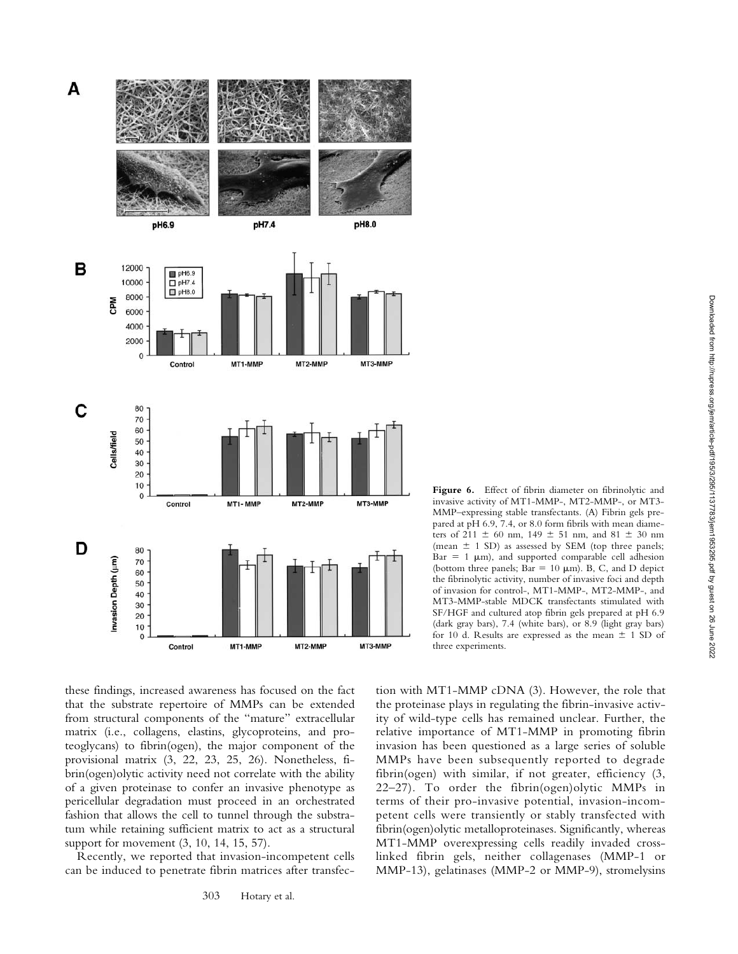

these findings, increased awareness has focused on the fact that the substrate repertoire of MMPs can be extended from structural components of the "mature" extracellular matrix (i.e., collagens, elastins, glycoproteins, and proteoglycans) to fibrin(ogen), the major component of the provisional matrix (3, 22, 23, 25, 26). Nonetheless, fibrin(ogen)olytic activity need not correlate with the ability of a given proteinase to confer an invasive phenotype as pericellular degradation must proceed in an orchestrated fashion that allows the cell to tunnel through the substratum while retaining sufficient matrix to act as a structural support for movement (3, 10, 14, 15, 57).

Recently, we reported that invasion-incompetent cells can be induced to penetrate fibrin matrices after transfec-

Figure 6. Effect of fibrin diameter on fibrinolytic and invasive activity of MT1-MMP-, MT2-MMP-, or MT3- MMP–expressing stable transfectants. (A) Fibrin gels prepared at pH 6.9, 7.4, or 8.0 form fibrils with mean diameters of 211  $\pm$  60 nm, 149  $\pm$  51 nm, and 81  $\pm$  30 nm (mean  $\pm$  1 SD) as assessed by SEM (top three panels;  $Bar = 1 \mu m$ , and supported comparable cell adhesion (bottom three panels; Bar = 10  $\mu$ m). B, C, and D depict the fibrinolytic activity, number of invasive foci and depth of invasion for control-, MT1-MMP-, MT2-MMP-, and MT3-MMP-stable MDCK transfectants stimulated with SF/HGF and cultured atop fibrin gels prepared at pH 6.9 (dark gray bars), 7.4 (white bars), or 8.9 (light gray bars) for 10 d. Results are expressed as the mean  $\pm$  1 SD of three experiments.

tion with MT1-MMP cDNA (3). However, the role that the proteinase plays in regulating the fibrin-invasive activity of wild-type cells has remained unclear. Further, the relative importance of MT1-MMP in promoting fibrin invasion has been questioned as a large series of soluble MMPs have been subsequently reported to degrade fibrin(ogen) with similar, if not greater, efficiency (3, 22–27). To order the fibrin(ogen)olytic MMPs in terms of their pro-invasive potential, invasion-incompetent cells were transiently or stably transfected with fibrin(ogen)olytic metalloproteinases. Significantly, whereas MT1-MMP overexpressing cells readily invaded crosslinked fibrin gels, neither collagenases (MMP-1 or MMP-13), gelatinases (MMP-2 or MMP-9), stromelysins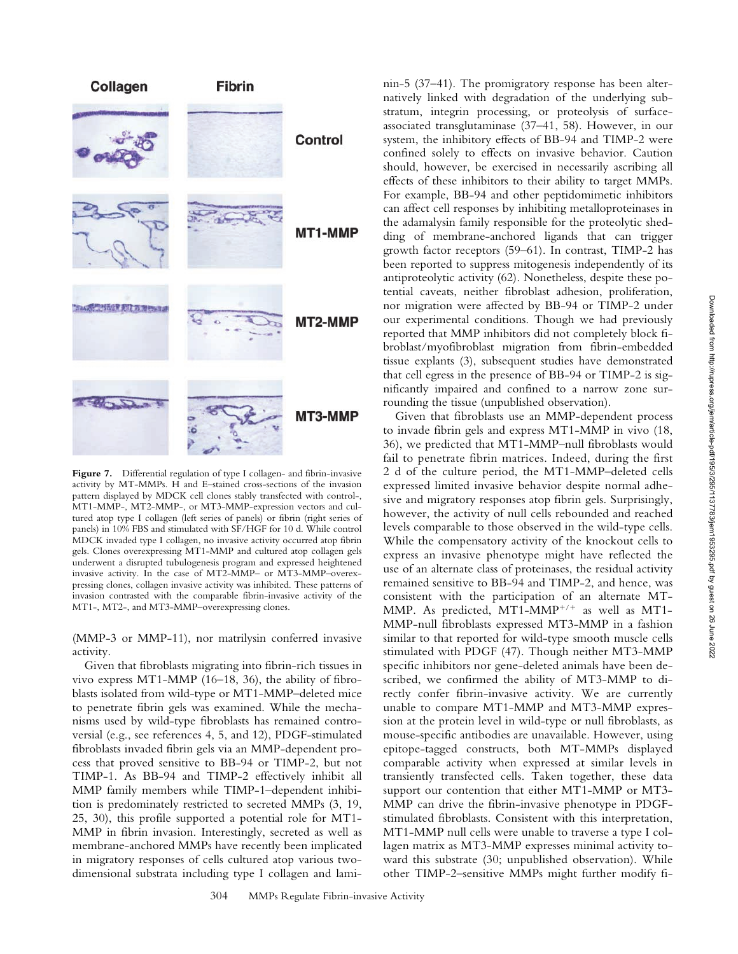

Figure 7. Differential regulation of type I collagen- and fibrin-invasive activity by MT-MMPs. H and E–stained cross-sections of the invasion pattern displayed by MDCK cell clones stably transfected with control-, MT1-MMP-, MT2-MMP-, or MT3-MMP-expression vectors and cultured atop type I collagen (left series of panels) or fibrin (right series of panels) in 10% FBS and stimulated with SF/HGF for 10 d. While control MDCK invaded type I collagen, no invasive activity occurred atop fibrin gels. Clones overexpressing MT1-MMP and cultured atop collagen gels underwent a disrupted tubulogenesis program and expressed heightened invasive activity. In the case of MT2-MMP– or MT3-MMP–overexpressing clones, collagen invasive activity was inhibited. These patterns of invasion contrasted with the comparable fibrin-invasive activity of the MT1-, MT2-, and MT3-MMP–overexpressing clones.

(MMP-3 or MMP-11), nor matrilysin conferred invasive activity.

Given that fibroblasts migrating into fibrin-rich tissues in vivo express MT1-MMP (16–18, 36), the ability of fibroblasts isolated from wild-type or MT1-MMP–deleted mice to penetrate fibrin gels was examined. While the mechanisms used by wild-type fibroblasts has remained controversial (e.g., see references 4, 5, and 12), PDGF-stimulated fibroblasts invaded fibrin gels via an MMP-dependent process that proved sensitive to BB-94 or TIMP-2, but not TIMP-1. As BB-94 and TIMP-2 effectively inhibit all MMP family members while TIMP-1–dependent inhibition is predominately restricted to secreted MMPs (3, 19, 25, 30), this profile supported a potential role for MT1- MMP in fibrin invasion. Interestingly, secreted as well as membrane-anchored MMPs have recently been implicated in migratory responses of cells cultured atop various twodimensional substrata including type I collagen and laminin-5 (37–41). The promigratory response has been alternatively linked with degradation of the underlying substratum, integrin processing, or proteolysis of surfaceassociated transglutaminase (37–41, 58). However, in our system, the inhibitory effects of BB-94 and TIMP-2 were confined solely to effects on invasive behavior. Caution should, however, be exercised in necessarily ascribing all effects of these inhibitors to their ability to target MMPs. For example, BB-94 and other peptidomimetic inhibitors can affect cell responses by inhibiting metalloproteinases in the adamalysin family responsible for the proteolytic shedding of membrane-anchored ligands that can trigger growth factor receptors (59–61). In contrast, TIMP-2 has been reported to suppress mitogenesis independently of its antiproteolytic activity (62). Nonetheless, despite these potential caveats, neither fibroblast adhesion, proliferation, nor migration were affected by BB-94 or TIMP-2 under our experimental conditions. Though we had previously reported that MMP inhibitors did not completely block fibroblast/myofibroblast migration from fibrin-embedded tissue explants (3), subsequent studies have demonstrated that cell egress in the presence of BB-94 or TIMP-2 is significantly impaired and confined to a narrow zone surrounding the tissue (unpublished observation).

Given that fibroblasts use an MMP-dependent process to invade fibrin gels and express MT1-MMP in vivo (18, 36), we predicted that MT1-MMP–null fibroblasts would fail to penetrate fibrin matrices. Indeed, during the first 2 d of the culture period, the MT1-MMP–deleted cells expressed limited invasive behavior despite normal adhesive and migratory responses atop fibrin gels. Surprisingly, however, the activity of null cells rebounded and reached levels comparable to those observed in the wild-type cells. While the compensatory activity of the knockout cells to express an invasive phenotype might have reflected the use of an alternate class of proteinases, the residual activity remained sensitive to BB-94 and TIMP-2, and hence, was consistent with the participation of an alternate MT-MMP. As predicted, MT1-MMP<sup>+/+</sup> as well as MT1-MMP-null fibroblasts expressed MT3-MMP in a fashion similar to that reported for wild-type smooth muscle cells stimulated with PDGF (47). Though neither MT3-MMP specific inhibitors nor gene-deleted animals have been described, we confirmed the ability of MT3-MMP to directly confer fibrin-invasive activity. We are currently unable to compare MT1-MMP and MT3-MMP expression at the protein level in wild-type or null fibroblasts, as mouse-specific antibodies are unavailable. However, using epitope-tagged constructs, both MT-MMPs displayed comparable activity when expressed at similar levels in transiently transfected cells. Taken together, these data support our contention that either MT1-MMP or MT3- MMP can drive the fibrin-invasive phenotype in PDGFstimulated fibroblasts. Consistent with this interpretation, MT1-MMP null cells were unable to traverse a type I collagen matrix as MT3-MMP expresses minimal activity toward this substrate (30; unpublished observation). While other TIMP-2–sensitive MMPs might further modify fi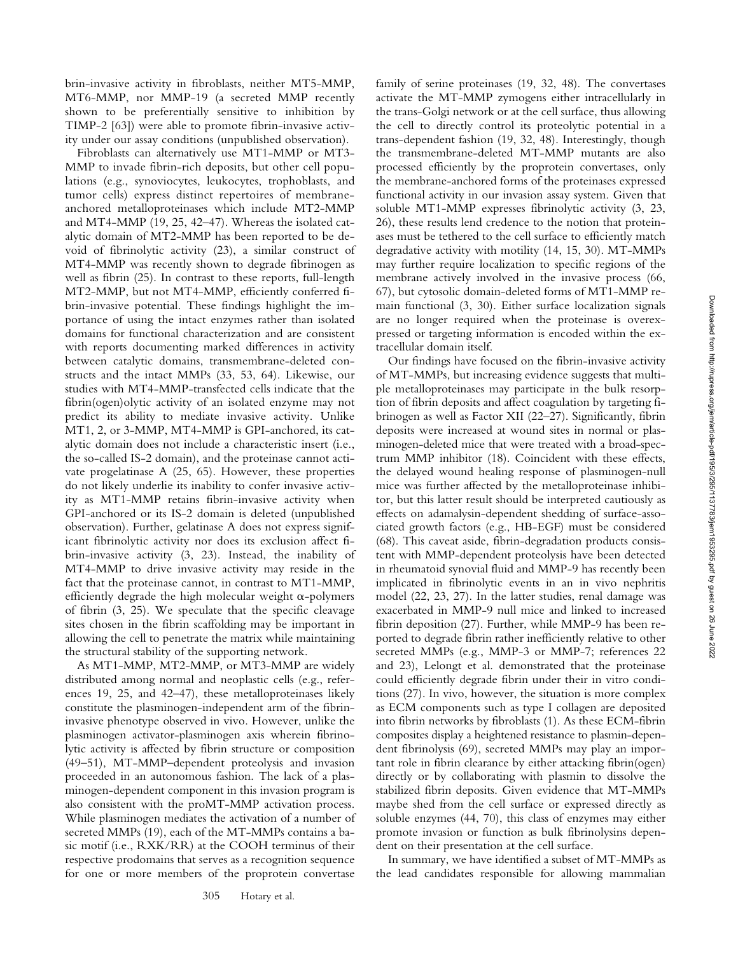brin-invasive activity in fibroblasts, neither MT5-MMP, MT6-MMP, nor MMP-19 (a secreted MMP recently shown to be preferentially sensitive to inhibition by TIMP-2 [63]) were able to promote fibrin-invasive activity under our assay conditions (unpublished observation).

Fibroblasts can alternatively use MT1-MMP or MT3- MMP to invade fibrin-rich deposits, but other cell populations (e.g., synoviocytes, leukocytes, trophoblasts, and tumor cells) express distinct repertoires of membraneanchored metalloproteinases which include MT2-MMP and MT4-MMP (19, 25, 42–47). Whereas the isolated catalytic domain of MT2-MMP has been reported to be devoid of fibrinolytic activity (23), a similar construct of MT4-MMP was recently shown to degrade fibrinogen as well as fibrin (25). In contrast to these reports, full-length MT2-MMP, but not MT4-MMP, efficiently conferred fibrin-invasive potential. These findings highlight the importance of using the intact enzymes rather than isolated domains for functional characterization and are consistent with reports documenting marked differences in activity between catalytic domains, transmembrane-deleted constructs and the intact MMPs (33, 53, 64). Likewise, our studies with MT4-MMP-transfected cells indicate that the fibrin(ogen)olytic activity of an isolated enzyme may not predict its ability to mediate invasive activity. Unlike MT1, 2, or 3-MMP, MT4-MMP is GPI-anchored, its catalytic domain does not include a characteristic insert (i.e., the so-called IS-2 domain), and the proteinase cannot activate progelatinase A (25, 65). However, these properties do not likely underlie its inability to confer invasive activity as MT1-MMP retains fibrin-invasive activity when GPI-anchored or its IS-2 domain is deleted (unpublished observation). Further, gelatinase A does not express significant fibrinolytic activity nor does its exclusion affect fibrin-invasive activity (3, 23). Instead, the inability of MT4-MMP to drive invasive activity may reside in the fact that the proteinase cannot, in contrast to MT1-MMP, efficiently degrade the high molecular weight  $\alpha$ -polymers of fibrin (3, 25). We speculate that the specific cleavage sites chosen in the fibrin scaffolding may be important in allowing the cell to penetrate the matrix while maintaining the structural stability of the supporting network.

As MT1-MMP, MT2-MMP, or MT3-MMP are widely distributed among normal and neoplastic cells (e.g., references 19, 25, and 42–47), these metalloproteinases likely constitute the plasminogen-independent arm of the fibrininvasive phenotype observed in vivo. However, unlike the plasminogen activator-plasminogen axis wherein fibrinolytic activity is affected by fibrin structure or composition (49–51), MT-MMP–dependent proteolysis and invasion proceeded in an autonomous fashion. The lack of a plasminogen-dependent component in this invasion program is also consistent with the proMT-MMP activation process. While plasminogen mediates the activation of a number of secreted MMPs (19), each of the MT-MMPs contains a basic motif (i.e., RXK/RR) at the COOH terminus of their respective prodomains that serves as a recognition sequence for one or more members of the proprotein convertase

305 Hotary et al.

family of serine proteinases (19, 32, 48). The convertases activate the MT-MMP zymogens either intracellularly in the trans-Golgi network or at the cell surface, thus allowing the cell to directly control its proteolytic potential in a trans-dependent fashion (19, 32, 48). Interestingly, though the transmembrane-deleted MT-MMP mutants are also processed efficiently by the proprotein convertases, only the membrane-anchored forms of the proteinases expressed functional activity in our invasion assay system. Given that soluble MT1-MMP expresses fibrinolytic activity (3, 23, 26), these results lend credence to the notion that proteinases must be tethered to the cell surface to efficiently match degradative activity with motility (14, 15, 30). MT-MMPs may further require localization to specific regions of the membrane actively involved in the invasive process (66, 67), but cytosolic domain-deleted forms of MT1-MMP remain functional (3, 30). Either surface localization signals are no longer required when the proteinase is overexpressed or targeting information is encoded within the extracellular domain itself.

Our findings have focused on the fibrin-invasive activity of MT-MMPs, but increasing evidence suggests that multiple metalloproteinases may participate in the bulk resorption of fibrin deposits and affect coagulation by targeting fibrinogen as well as Factor XII (22–27). Significantly, fibrin deposits were increased at wound sites in normal or plasminogen-deleted mice that were treated with a broad-spectrum MMP inhibitor (18). Coincident with these effects, the delayed wound healing response of plasminogen-null mice was further affected by the metalloproteinase inhibitor, but this latter result should be interpreted cautiously as effects on adamalysin-dependent shedding of surface-associated growth factors (e.g., HB-EGF) must be considered (68). This caveat aside, fibrin-degradation products consistent with MMP-dependent proteolysis have been detected in rheumatoid synovial fluid and MMP-9 has recently been implicated in fibrinolytic events in an in vivo nephritis model (22, 23, 27). In the latter studies, renal damage was exacerbated in MMP-9 null mice and linked to increased fibrin deposition (27). Further, while MMP-9 has been reported to degrade fibrin rather inefficiently relative to other secreted MMPs (e.g., MMP-3 or MMP-7; references 22 and 23), Lelongt et al. demonstrated that the proteinase could efficiently degrade fibrin under their in vitro conditions (27). In vivo, however, the situation is more complex as ECM components such as type I collagen are deposited into fibrin networks by fibroblasts (1). As these ECM-fibrin composites display a heightened resistance to plasmin-dependent fibrinolysis (69), secreted MMPs may play an important role in fibrin clearance by either attacking fibrin(ogen) directly or by collaborating with plasmin to dissolve the stabilized fibrin deposits. Given evidence that MT-MMPs maybe shed from the cell surface or expressed directly as soluble enzymes (44, 70), this class of enzymes may either promote invasion or function as bulk fibrinolysins dependent on their presentation at the cell surface.

In summary, we have identified a subset of MT-MMPs as the lead candidates responsible for allowing mammalian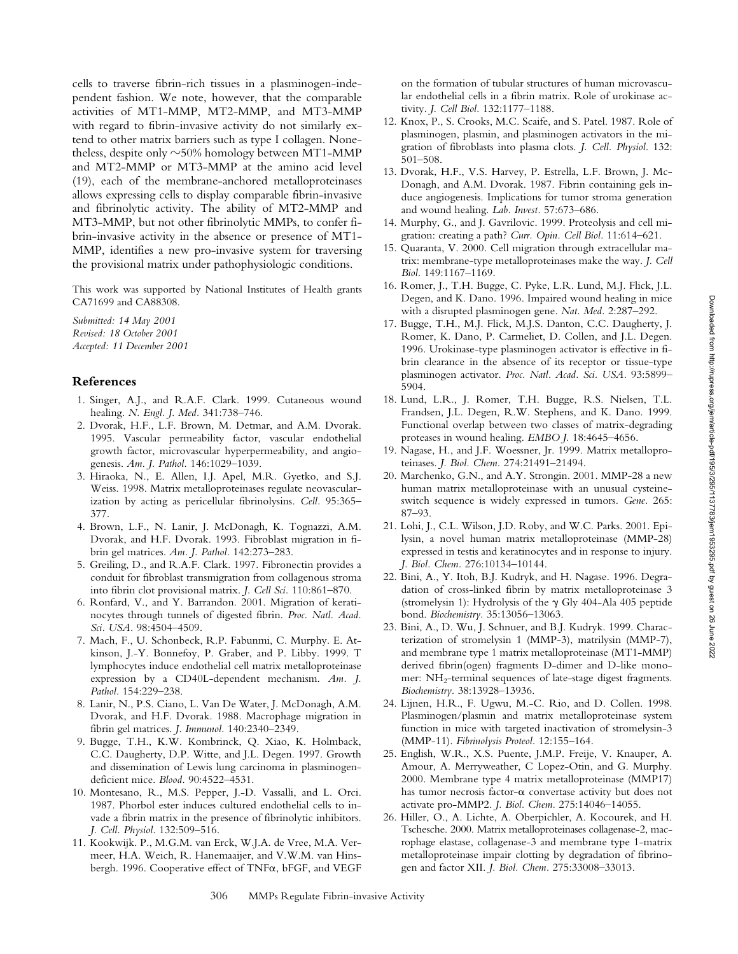cells to traverse fibrin-rich tissues in a plasminogen-independent fashion. We note, however, that the comparable activities of MT1-MMP, MT2-MMP, and MT3-MMP with regard to fibrin-invasive activity do not similarly extend to other matrix barriers such as type I collagen. Nonetheless, despite only  $\sim$ 50% homology between MT1-MMP and MT2-MMP or MT3-MMP at the amino acid level (19), each of the membrane-anchored metalloproteinases allows expressing cells to display comparable fibrin-invasive and fibrinolytic activity. The ability of MT2-MMP and MT3-MMP, but not other fibrinolytic MMPs, to confer fibrin-invasive activity in the absence or presence of MT1- MMP, identifies a new pro-invasive system for traversing the provisional matrix under pathophysiologic conditions.

This work was supported by National Institutes of Health grants CA71699 and CA88308.

*Submitted: 14 May 2001 Revised: 18 October 2001 Accepted: 11 December 2001*

#### **References**

- 1. Singer, A.J., and R.A.F. Clark. 1999. Cutaneous wound healing. *N. Engl. J. Med.* 341:738–746.
- 2. Dvorak, H.F., L.F. Brown, M. Detmar, and A.M. Dvorak. 1995. Vascular permeability factor, vascular endothelial growth factor, microvascular hyperpermeability, and angiogenesis. *Am. J. Pathol.* 146:1029–1039.
- 3. Hiraoka, N., E. Allen, I.J. Apel, M.R. Gyetko, and S.J. Weiss. 1998. Matrix metalloproteinases regulate neovascularization by acting as pericellular fibrinolysins. *Cell.* 95:365– 377.
- 4. Brown, L.F., N. Lanir, J. McDonagh, K. Tognazzi, A.M. Dvorak, and H.F. Dvorak. 1993. Fibroblast migration in fibrin gel matrices. *Am. J. Pathol.* 142:273–283.
- 5. Greiling, D., and R.A.F. Clark. 1997. Fibronectin provides a conduit for fibroblast transmigration from collagenous stroma into fibrin clot provisional matrix. *J. Cell Sci.* 110:861–870.
- 6. Ronfard, V., and Y. Barrandon. 2001. Migration of keratinocytes through tunnels of digested fibrin. *Proc. Natl. Acad. Sci. USA.* 98:4504–4509.
- 7. Mach, F., U. Schonbeck, R.P. Fabunmi, C. Murphy. E. Atkinson, J.-Y. Bonnefoy, P. Graber, and P. Libby. 1999. T lymphocytes induce endothelial cell matrix metalloproteinase expression by a CD40L-dependent mechanism. *Am. J. Pathol.* 154:229–238.
- 8. Lanir, N., P.S. Ciano, L. Van De Water, J. McDonagh, A.M. Dvorak, and H.F. Dvorak. 1988. Macrophage migration in fibrin gel matrices. *J. Immunol.* 140:2340–2349.
- 9. Bugge, T.H., K.W. Kombrinck, Q. Xiao, K. Holmback, C.C. Daugherty, D.P. Witte, and J.L. Degen. 1997. Growth and dissemination of Lewis lung carcinoma in plasminogendeficient mice. *Blood.* 90:4522–4531.
- 10. Montesano, R., M.S. Pepper, J.-D. Vassalli, and L. Orci. 1987. Phorbol ester induces cultured endothelial cells to invade a fibrin matrix in the presence of fibrinolytic inhibitors. *J. Cell. Physiol.* 132:509–516.
- 11. Kookwijk. P., M.G.M. van Erck, W.J.A. de Vree, M.A. Vermeer, H.A. Weich, R. Hanemaaijer, and V.W.M. van Hinsbergh. 1996. Cooperative effect of  $TNF\alpha$ , bFGF, and VEGF

on the formation of tubular structures of human microvascular endothelial cells in a fibrin matrix. Role of urokinase activity. *J. Cell Biol.* 132:1177–1188.

- 12. Knox, P., S. Crooks, M.C. Scaife, and S. Patel. 1987. Role of plasminogen, plasmin, and plasminogen activators in the migration of fibroblasts into plasma clots. *J. Cell. Physiol.* 132: 501–508.
- 13. Dvorak, H.F., V.S. Harvey, P. Estrella, L.F. Brown, J. Mc-Donagh, and A.M. Dvorak. 1987. Fibrin containing gels induce angiogenesis. Implications for tumor stroma generation and wound healing. *Lab. Invest.* 57:673–686.
- 14. Murphy, G., and J. Gavrilovic. 1999. Proteolysis and cell migration: creating a path? *Curr. Opin. Cell Biol.* 11:614–621.
- 15. Quaranta, V. 2000. Cell migration through extracellular matrix: membrane-type metalloproteinases make the way. *J. Cell Biol.* 149:1167–1169.
- 16. Romer, J., T.H. Bugge, C. Pyke, L.R. Lund, M.J. Flick, J.L. Degen, and K. Dano. 1996. Impaired wound healing in mice with a disrupted plasminogen gene. *Nat. Med.* 2:287–292.
- 17. Bugge, T.H., M.J. Flick, M.J.S. Danton, C.C. Daugherty, J. Romer, K. Dano, P. Carmeliet, D. Collen, and J.L. Degen. 1996. Urokinase-type plasminogen activator is effective in fibrin clearance in the absence of its receptor or tissue-type plasminogen activator. *Proc. Natl. Acad. Sci. USA.* 93:5899– 5904.
- 18. Lund, L.R., J. Romer, T.H. Bugge, R.S. Nielsen, T.L. Frandsen, J.L. Degen, R.W. Stephens, and K. Dano. 1999. Functional overlap between two classes of matrix-degrading proteases in wound healing. *EMBO J.* 18:4645–4656.
- 19. Nagase, H., and J.F. Woessner, Jr. 1999. Matrix metalloproteinases. *J. Biol. Chem.* 274:21491–21494.
- 20. Marchenko, G.N., and A.Y. Strongin. 2001. MMP-28 a new human matrix metalloproteinase with an unusual cysteineswitch sequence is widely expressed in tumors. *Gene.* 265: 87–93.
- 21. Lohi, J., C.L. Wilson, J.D. Roby, and W.C. Parks. 2001. Epilysin, a novel human matrix metalloproteinase (MMP-28) expressed in testis and keratinocytes and in response to injury. *J. Biol. Chem.* 276:10134–10144.
- 22. Bini, A., Y. Itoh, B.J. Kudryk, and H. Nagase. 1996. Degradation of cross-linked fibrin by matrix metalloproteinase 3 (stromelysin 1): Hydrolysis of the  $\gamma$  Gly 404-Ala 405 peptide bond. *Biochemistry.* 35:13056–13063.
- 23. Bini, A., D. Wu, J. Schnuer, and B.J. Kudryk. 1999. Characterization of stromelysin 1 (MMP-3), matrilysin (MMP-7), and membrane type 1 matrix metalloproteinase (MT1-MMP) derived fibrin(ogen) fragments D-dimer and D-like monomer: NH<sub>2</sub>-terminal sequences of late-stage digest fragments. *Biochemistry.* 38:13928–13936.
- 24. Lijnen, H.R., F. Ugwu, M.-C. Rio, and D. Collen. 1998. Plasminogen/plasmin and matrix metalloproteinase system function in mice with targeted inactivation of stromelysin-3 (MMP-11). *Fibrinolysis Proteol.* 12:155–164.
- 25. English, W.R., X.S. Puente, J.M.P. Freije, V. Knauper, A. Amour, A. Merryweather, C Lopez-Otin, and G. Murphy. 2000. Membrane type 4 matrix metalloproteinase (MMP17) has tumor necrosis factor- $\alpha$  convertase activity but does not activate pro-MMP2. *J. Biol. Chem.* 275:14046–14055.
- 26. Hiller, O., A. Lichte, A. Oberpichler, A. Kocourek, and H. Tschesche. 2000. Matrix metalloproteinases collagenase-2, macrophage elastase, collagenase-3 and membrane type 1-matrix metalloproteinase impair clotting by degradation of fibrinogen and factor XII. *J. Biol. Chem.* 275:33008–33013.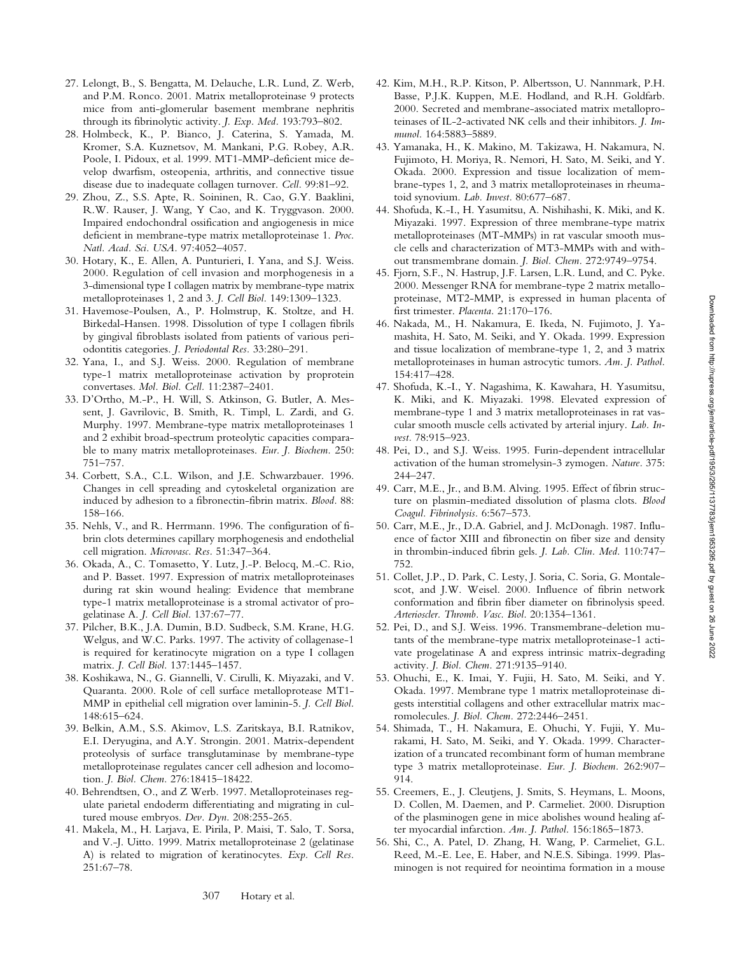- 27. Lelongt, B., S. Bengatta, M. Delauche, L.R. Lund, Z. Werb, and P.M. Ronco. 2001. Matrix metalloproteinase 9 protects mice from anti-glomerular basement membrane nephritis through its fibrinolytic activity. *J. Exp. Med.* 193:793–802.
- 28. Holmbeck, K., P. Bianco, J. Caterina, S. Yamada, M. Kromer, S.A. Kuznetsov, M. Mankani, P.G. Robey, A.R. Poole, I. Pidoux, et al. 1999. MT1-MMP-deficient mice develop dwarfism, osteopenia, arthritis, and connective tissue disease due to inadequate collagen turnover. *Cell.* 99:81–92.
- 29. Zhou, Z., S.S. Apte, R. Soininen, R. Cao, G.Y. Baaklini, R.W. Rauser, J. Wang, Y Cao, and K. Tryggvason. 2000. Impaired endochondral ossification and angiogenesis in mice deficient in membrane-type matrix metalloproteinase 1. *Proc. Natl. Acad. Sci. USA.* 97:4052–4057.
- 30. Hotary, K., E. Allen, A. Punturieri, I. Yana, and S.J. Weiss. 2000. Regulation of cell invasion and morphogenesis in a 3-dimensional type I collagen matrix by membrane-type matrix metalloproteinases 1, 2 and 3. *J. Cell Biol.* 149:1309–1323.
- 31. Havemose-Poulsen, A., P. Holmstrup, K. Stoltze, and H. Birkedal-Hansen. 1998. Dissolution of type I collagen fibrils by gingival fibroblasts isolated from patients of various periodontitis categories. *J. Periodontal Res.* 33:280–291.
- 32. Yana, I., and S.J. Weiss. 2000. Regulation of membrane type-1 matrix metalloproteinase activation by proprotein convertases. *Mol. Biol. Cell.* 11:2387–2401.
- 33. D'Ortho, M.-P., H. Will, S. Atkinson, G. Butler, A. Messent, J. Gavrilovic, B. Smith, R. Timpl, L. Zardi, and G. Murphy. 1997. Membrane-type matrix metalloproteinases 1 and 2 exhibit broad-spectrum proteolytic capacities comparable to many matrix metalloproteinases. *Eur. J. Biochem.* 250: 751–757.
- 34. Corbett, S.A., C.L. Wilson, and J.E. Schwarzbauer. 1996. Changes in cell spreading and cytoskeletal organization are induced by adhesion to a fibronectin-fibrin matrix. *Blood.* 88: 158–166.
- 35. Nehls, V., and R. Herrmann. 1996. The configuration of fibrin clots determines capillary morphogenesis and endothelial cell migration. *Microvasc. Res.* 51:347–364.
- 36. Okada, A., C. Tomasetto, Y. Lutz, J.-P. Belocq, M.-C. Rio, and P. Basset. 1997. Expression of matrix metalloproteinases during rat skin wound healing: Evidence that membrane type-1 matrix metalloproteinase is a stromal activator of progelatinase A. *J. Cell Biol.* 137:67–77.
- 37. Pilcher, B.K., J.A. Dumin, B.D. Sudbeck, S.M. Krane, H.G. Welgus, and W.C. Parks. 1997. The activity of collagenase-1 is required for keratinocyte migration on a type I collagen matrix. *J. Cell Biol.* 137:1445–1457.
- 38. Koshikawa, N., G. Giannelli, V. Cirulli, K. Miyazaki, and V. Quaranta. 2000. Role of cell surface metalloprotease MT1- MMP in epithelial cell migration over laminin-5. *J. Cell Biol.* 148:615–624.
- 39. Belkin, A.M., S.S. Akimov, L.S. Zaritskaya, B.I. Ratnikov, E.I. Deryugina, and A.Y. Strongin. 2001. Matrix-dependent proteolysis of surface transglutaminase by membrane-type metalloproteinase regulates cancer cell adhesion and locomotion. *J. Biol. Chem.* 276:18415–18422.
- 40. Behrendtsen, O., and Z Werb. 1997. Metalloproteinases regulate parietal endoderm differentiating and migrating in cultured mouse embryos. *Dev. Dyn.* 208:255-265.
- 41. Makela, M., H. Larjava, E. Pirila, P. Maisi, T. Salo, T. Sorsa, and V.-J. Uitto. 1999. Matrix metalloproteinase 2 (gelatinase A) is related to migration of keratinocytes. *Exp. Cell Res.* 251:67–78.
- 42. Kim, M.H., R.P. Kitson, P. Albertsson, U. Nannmark, P.H. Basse, P.J.K. Kuppen, M.E. Hodland, and R.H. Goldfarb. 2000. Secreted and membrane-associated matrix metalloproteinases of IL-2-activated NK cells and their inhibitors. *J. Immunol.* 164:5883–5889.
- 43. Yamanaka, H., K. Makino, M. Takizawa, H. Nakamura, N. Fujimoto, H. Moriya, R. Nemori, H. Sato, M. Seiki, and Y. Okada. 2000. Expression and tissue localization of membrane-types 1, 2, and 3 matrix metalloproteinases in rheumatoid synovium. *Lab. Invest.* 80:677–687.
- 44. Shofuda, K.-I., H. Yasumitsu, A. Nishihashi, K. Miki, and K. Miyazaki. 1997. Expression of three membrane-type matrix metalloproteinases (MT-MMPs) in rat vascular smooth muscle cells and characterization of MT3-MMPs with and without transmembrane domain. *J. Biol. Chem.* 272:9749–9754.
- 45. Fjorn, S.F., N. Hastrup, J.F. Larsen, L.R. Lund, and C. Pyke. 2000. Messenger RNA for membrane-type 2 matrix metalloproteinase, MT2-MMP, is expressed in human placenta of first trimester. *Placenta.* 21:170–176.
- 46. Nakada, M., H. Nakamura, E. Ikeda, N. Fujimoto, J. Yamashita, H. Sato, M. Seiki, and Y. Okada. 1999. Expression and tissue localization of membrane-type 1, 2, and 3 matrix metalloproteinases in human astrocytic tumors. *Am. J. Pathol.* 154:417–428.
- 47. Shofuda, K.-I., Y. Nagashima, K. Kawahara, H. Yasumitsu, K. Miki, and K. Miyazaki. 1998. Elevated expression of membrane-type 1 and 3 matrix metalloproteinases in rat vascular smooth muscle cells activated by arterial injury. *Lab. Invest.* 78:915–923.
- 48. Pei, D., and S.J. Weiss. 1995. Furin-dependent intracellular activation of the human stromelysin-3 zymogen. *Nature.* 375: 244–247.
- 49. Carr, M.E., Jr., and B.M. Alving. 1995. Effect of fibrin structure on plasmin-mediated dissolution of plasma clots. *Blood Coagul. Fibrinolysis.* 6:567–573.
- 50. Carr, M.E., Jr., D.A. Gabriel, and J. McDonagh. 1987. Influence of factor XIII and fibronectin on fiber size and density in thrombin-induced fibrin gels. *J. Lab. Clin. Med.* 110:747– 752.
- 51. Collet, J.P., D. Park, C. Lesty, J. Soria, C. Soria, G. Montalescot, and J.W. Weisel. 2000. Influence of fibrin network conformation and fibrin fiber diameter on fibrinolysis speed. *Arterioscler. Thromb. Vasc. Biol.* 20:1354–1361.
- 52. Pei, D., and S.J. Weiss. 1996. Transmembrane-deletion mutants of the membrane-type matrix metalloproteinase-1 activate progelatinase A and express intrinsic matrix-degrading activity. *J. Biol. Chem.* 271:9135–9140.
- 53. Ohuchi, E., K. Imai, Y. Fujii, H. Sato, M. Seiki, and Y. Okada. 1997. Membrane type 1 matrix metalloproteinase digests interstitial collagens and other extracellular matrix macromolecules. *J. Biol. Chem.* 272:2446–2451.
- 54. Shimada, T., H. Nakamura, E. Ohuchi, Y. Fujii, Y. Murakami, H. Sato, M. Seiki, and Y. Okada. 1999. Characterization of a truncated recombinant form of human membrane type 3 matrix metalloproteinase. *Eur. J. Biochem.* 262:907– 914.
- 55. Creemers, E., J. Cleutjens, J. Smits, S. Heymans, L. Moons, D. Collen, M. Daemen, and P. Carmeliet. 2000. Disruption of the plasminogen gene in mice abolishes wound healing after myocardial infarction. *Am. J. Pathol.* 156:1865–1873.
- 56. Shi, C., A. Patel, D. Zhang, H. Wang, P. Carmeliet, G.L. Reed, M.-E. Lee, E. Haber, and N.E.S. Sibinga. 1999. Plasminogen is not required for neointima formation in a mouse